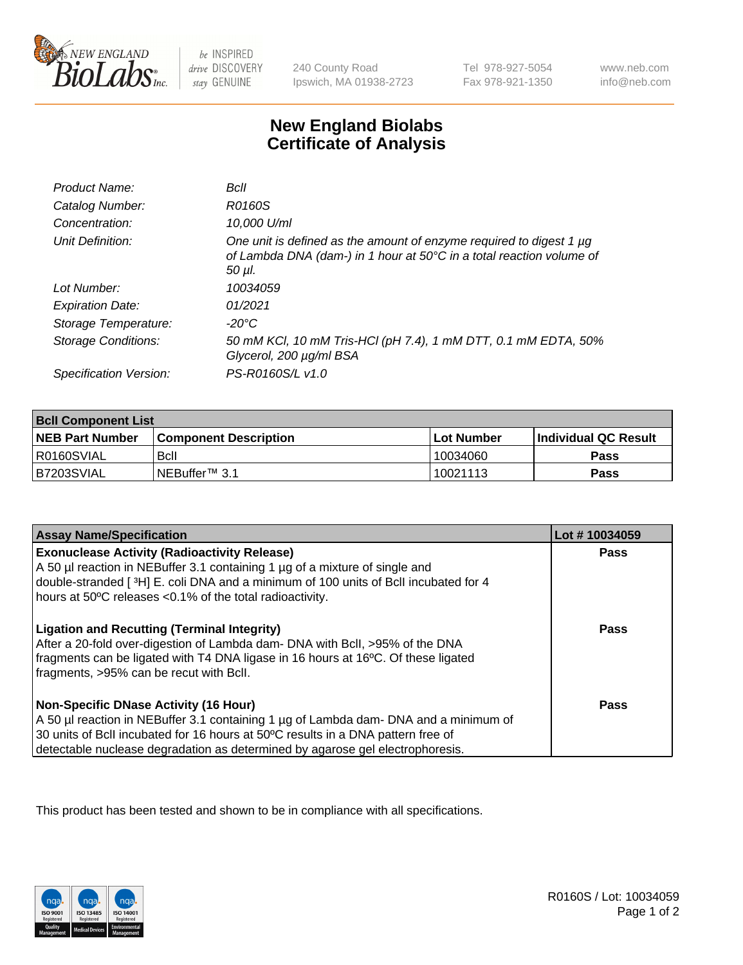

 $be$  INSPIRED drive DISCOVERY stay GENUINE

240 County Road Ipswich, MA 01938-2723 Tel 978-927-5054 Fax 978-921-1350

www.neb.com info@neb.com

## **New England Biolabs Certificate of Analysis**

| Product Name:              | Bcll                                                                                                                                                  |
|----------------------------|-------------------------------------------------------------------------------------------------------------------------------------------------------|
| Catalog Number:            | R0160S                                                                                                                                                |
| Concentration:             | 10,000 U/ml                                                                                                                                           |
| Unit Definition:           | One unit is defined as the amount of enzyme required to digest 1 µg<br>of Lambda DNA (dam-) in 1 hour at 50°C in a total reaction volume of<br>50 µI. |
| Lot Number:                | 10034059                                                                                                                                              |
| <b>Expiration Date:</b>    | 01/2021                                                                                                                                               |
| Storage Temperature:       | -20°C                                                                                                                                                 |
| <b>Storage Conditions:</b> | 50 mM KCl, 10 mM Tris-HCl (pH 7.4), 1 mM DTT, 0.1 mM EDTA, 50%<br>Glycerol, 200 µg/ml BSA                                                             |
| Specification Version:     | PS-R0160S/L v1.0                                                                                                                                      |

| <b>Bcll Component List</b> |                              |            |                             |  |  |
|----------------------------|------------------------------|------------|-----------------------------|--|--|
| <b>NEB Part Number</b>     | <b>Component Description</b> | Lot Number | <b>Individual QC Result</b> |  |  |
| IR0160SVIAL                | <b>B</b> cll                 | 10034060   | <b>Pass</b>                 |  |  |
| IB7203SVIAL                | l NEBuffer™ 3.1              | 10021113   | <b>Pass</b>                 |  |  |

| <b>Assay Name/Specification</b>                                                                                                                                                                                                                                                                           | Lot #10034059 |
|-----------------------------------------------------------------------------------------------------------------------------------------------------------------------------------------------------------------------------------------------------------------------------------------------------------|---------------|
| <b>Exonuclease Activity (Radioactivity Release)</b><br>A 50 µl reaction in NEBuffer 3.1 containing 1 µg of a mixture of single and<br>double-stranded [3H] E. coli DNA and a minimum of 100 units of Bcll incubated for 4<br>hours at 50°C releases <0.1% of the total radioactivity.                     | <b>Pass</b>   |
| <b>Ligation and Recutting (Terminal Integrity)</b><br>After a 20-fold over-digestion of Lambda dam- DNA with BcII, >95% of the DNA<br>fragments can be ligated with T4 DNA ligase in 16 hours at 16°C. Of these ligated<br>fragments, >95% can be recut with Bcll.                                        | Pass          |
| <b>Non-Specific DNase Activity (16 Hour)</b><br>A 50 µl reaction in NEBuffer 3.1 containing 1 µg of Lambda dam- DNA and a minimum of<br>30 units of BcII incubated for 16 hours at 50°C results in a DNA pattern free of<br>detectable nuclease degradation as determined by agarose gel electrophoresis. | <b>Pass</b>   |

This product has been tested and shown to be in compliance with all specifications.